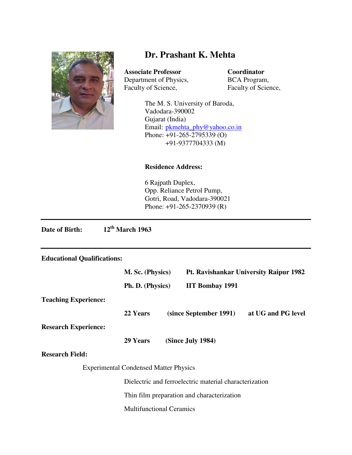

# **Dr. Prashant K. Mehta**

**Associate Professor Coordinator**  Department of Physics, BCA Program,<br>Faculty of Science, Faculty of Science,

Faculty of Science,

The M. S. University of Baroda, Vadodara-390002 Gujarat (India) Email: pkmehta\_phy@yahoo.co.in Phone: +91-265-2795339 (O) +91-9377704333 (M)

## **Residence Address:**

6 Rajpath Duplex, Opp. Reliance Petrol Pump, Gotri, Road, Vadodara-390021 Phone: +91-265-2370939 (R)

**Date of Birth: 12th March 1963** 

# **Educational Qualifications:**

|                             | M. Sc. (Physics)                                       |  | <b>Pt. Ravishankar University Raipur 1982</b> |                    |
|-----------------------------|--------------------------------------------------------|--|-----------------------------------------------|--------------------|
|                             | Ph. D. (Physics)                                       |  | <b>IIT Bombay 1991</b>                        |                    |
| <b>Teaching Experience:</b> |                                                        |  |                                               |                    |
|                             | 22 Years                                               |  | (since September 1991)                        | at UG and PG level |
| <b>Research Experience:</b> |                                                        |  |                                               |                    |
|                             | 29 Years                                               |  | (Since July 1984)                             |                    |
| <b>Research Field:</b>      |                                                        |  |                                               |                    |
|                             | <b>Experimental Condensed Matter Physics</b>           |  |                                               |                    |
|                             | Dielectric and ferroelectric material characterization |  |                                               |                    |
|                             | Thin film preparation and characterization             |  |                                               |                    |
|                             | <b>Multifunctional Ceramics</b>                        |  |                                               |                    |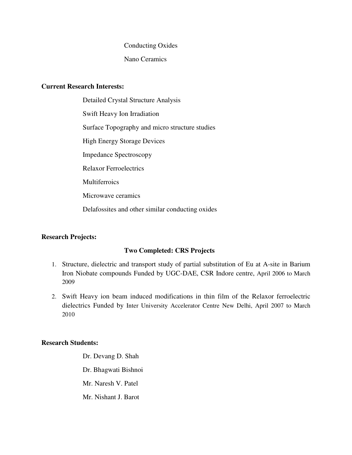#### Conducting Oxides

# Nano Ceramics

# **Current Research Interests:**

Detailed Crystal Structure Analysis Swift Heavy Ion Irradiation Surface Topography and micro structure studies High Energy Storage Devices Impedance Spectroscopy Relaxor Ferroelectrics **Multiferroics** Microwave ceramics Delafossites and other similar conducting oxides

# **Research Projects:**

# **Two Completed: CRS Projects**

- 1. Structure, dielectric and transport study of partial substitution of Eu at A-site in Barium Iron Niobate compounds Funded by UGC-DAE, CSR Indore centre, April 2006 to March 2009
- 2. Swift Heavy ion beam induced modifications in thin film of the Relaxor ferroelectric dielectrics Funded by Inter University Accelerator Centre New Delhi, April 2007 to March 2010

# **Research Students:**

Dr. Devang D. Shah Dr. Bhagwati Bishnoi Mr. Naresh V. Patel Mr. Nishant J. Barot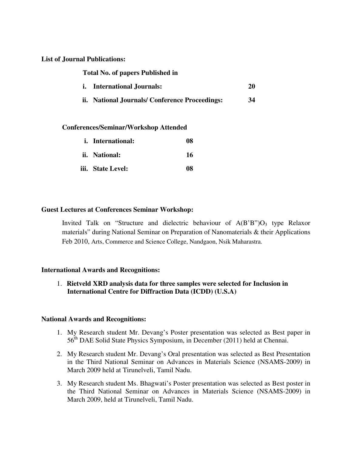#### **List of Journal Publications:**

| <b>Total No. of papers Published in</b> |                                               |    |  |
|-----------------------------------------|-----------------------------------------------|----|--|
|                                         | <i>i.</i> International Journals:             | 20 |  |
|                                         | ii. National Journals/Conference Proceedings: | 34 |  |

#### **Conferences/Seminar/Workshop Attended**

| <i>i.</i> International: | 08 |
|--------------------------|----|
| ii. National:            | 16 |
| iii. State Level:        | 08 |

# **Guest Lectures at Conferences Seminar Workshop:**

Invited Talk on "Structure and dielectric behaviour of  $A(B'B")O<sub>3</sub>$  type Relaxor materials" during National Seminar on Preparation of Nanomaterials & their Applications Feb 2010, Arts, Commerce and Science College, Nandgaon, Nsik Maharastra.

# **International Awards and Recognitions:**

1. **Rietveld XRD analysis data for three samples were selected for Inclusion in International Centre for Diffraction Data (ICDD) (U.S.A)** 

#### **National Awards and Recognitions:**

- 1. My Research student Mr. Devang's Poster presentation was selected as Best paper in 56<sup>th</sup> DAE Solid State Physics Symposium, in December (2011) held at Chennai.
- 2. My Research student Mr. Devang's Oral presentation was selected as Best Presentation in the Third National Seminar on Advances in Materials Science (NSAMS-2009) in March 2009 held at Tirunelveli, Tamil Nadu.
- 3. My Research student Ms. Bhagwati's Poster presentation was selected as Best poster in the Third National Seminar on Advances in Materials Science (NSAMS-2009) in March 2009, held at Tirunelveli, Tamil Nadu.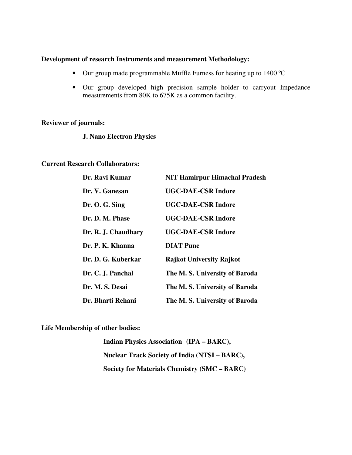#### **Development of research Instruments and measurement Methodology:**

- Our group made programmable Muffle Furness for heating up to 1400 °C
- Our group developed high precision sample holder to carryout Impedance measurements from 80K to 675K as a common facility.

# **Reviewer of journals:**

**J. Nano Electron Physics** 

#### **Current Research Collaborators:**

| Dr. Ravi Kumar      | <b>NIT Hamirpur Himachal Pradesh</b> |
|---------------------|--------------------------------------|
| Dr. V. Ganesan      | <b>UGC-DAE-CSR Indore</b>            |
| Dr. O. G. Sing      | <b>UGC-DAE-CSR Indore</b>            |
| Dr. D. M. Phase     | <b>UGC-DAE-CSR Indore</b>            |
| Dr. R. J. Chaudhary | <b>UGC-DAE-CSR Indore</b>            |
| Dr. P. K. Khanna    | <b>DIAT</b> Pune                     |
| Dr. D. G. Kuberkar  | <b>Rajkot University Rajkot</b>      |
| Dr. C. J. Panchal   | The M.S. University of Baroda        |
| Dr. M. S. Desai     | The M.S. University of Baroda        |
| Dr. Bharti Rehani   | The M.S. University of Baroda        |

**Life Membership of other bodies:** 

**Indian Physics Association (IPA – BARC), Nuclear Track Society of India (NTSI – BARC), Society for Materials Chemistry (SMC – BARC)**